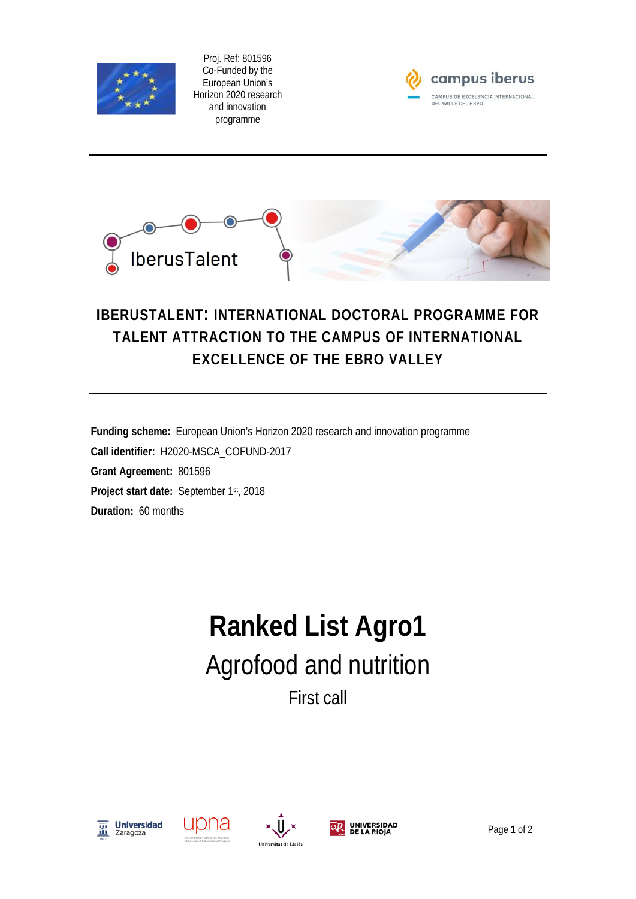

Proj. Ref: 801596 Co-Funded by the European Union's Horizon 2020 research and innovation programme





## **IBERUSTALENT: INTERNATIONAL DOCTORAL PROGRAMME FOR TALENT ATTRACTION TO THE CAMPUS OF INTERNATIONAL EXCELLENCE OF THE EBRO VALLEY**

**Funding scheme:** European Union's Horizon 2020 research and innovation programme **Call identifier:** H2020-MSCA\_COFUND-2017 **Grant Agreement:** 801596 **Project start date:** September 1st, 2018 **Duration:** 60 months

## **Ranked List Agro1** Agrofood and nutrition First call